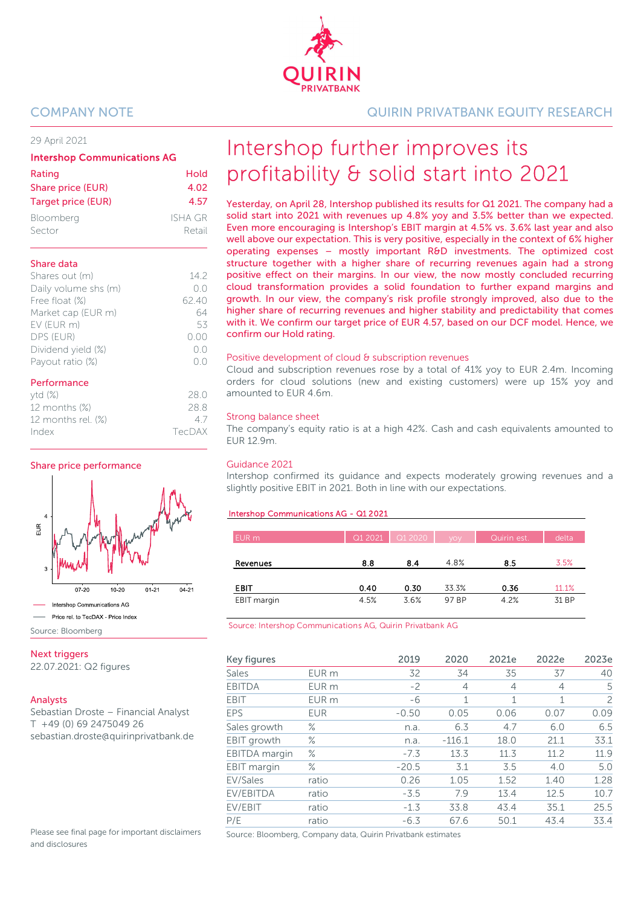29 April 2021

| <b>Intershop Communications AG</b> |                |  |  |  |  |
|------------------------------------|----------------|--|--|--|--|
| Rating                             | Hold           |  |  |  |  |
| Share price (EUR)                  | 4.02           |  |  |  |  |
| Target price (EUR)                 | 4.57           |  |  |  |  |
| Bloomberg                          | <b>ISHA GR</b> |  |  |  |  |
| Sector                             | Retail         |  |  |  |  |

### Share data

| Shares out (m)       | 142   |
|----------------------|-------|
| Daily volume shs (m) | ()()  |
| Free float (%)       | 62.40 |
| Market cap (EUR m)   | 64    |
| EV (EUR m)           | 53    |
| DPS (EUR)            | 0.00  |
| Dividend yield (%)   | O.O   |
| Payout ratio (%)     |       |
|                      |       |

| Performance        |      |
|--------------------|------|
| ytd(%)             | 28 O |
| 12 months (%)      | 28.8 |
| 12 months rel. (%) | 47   |

Index TecDAX

Share price performance



Source: Bloomberg

**Next triggers** 

22.07.2021: Q2 figures

### Analysts

Sebastian Droste – Financial Analyst T +49 (0) 69 2475049 26 sebastian.droste@quirinprivatbank.de

Please see final page for important disclaimers and disclosures

COMPANY NOTE QUIRIN PRIVATBANK EQUITY RESEARCH

# Intershop further improves its profitability & solid start into 2021

Yesterday, on April 28, Intershop published its results for Q1 2021. The company had a solid start into 2021 with revenues up 4.8% yoy and 3.5% better than we expected. Even more encouraging is Intershop's EBIT margin at 4.5% vs. 3.6% last year and also well above our expectation. This is very positive, especially in the context of 6% higher operating expenses – mostly important R&D investments. The optimized cost structure together with a higher share of recurring revenues again had a strong positive effect on their margins. In our view, the now mostly concluded recurring cloud transformation provides a solid foundation to further expand margins and growth. In our view, the company's risk profile strongly improved, also due to the higher share of recurring revenues and higher stability and predictability that comes with it. We confirm our target price of EUR 4.57, based on our DCF model. Hence, we confirm our Hold rating.

### Positive development of cloud & subscription revenues

Cloud and subscription revenues rose by a total of 41% yoy to EUR 2.4m. Incoming orders for cloud solutions (new and existing customers) were up 15% yoy and amounted to EUR 4.6m.

### Strong balance sheet

The company's equity ratio is at a high 42%. Cash and cash equivalents amounted to EUR 12.9m.

### Guidance 2021

Intershop confirmed its guidance and expects moderately growing revenues and a slightly positive EBIT in 2021. Both in line with our expectations.

### Intershop Communications AG - Q1 2021

| EUR m       | Q1 2021 | Q1 2020 | <b>VOV</b> | Quirin est. | delta |
|-------------|---------|---------|------------|-------------|-------|
| Revenues    | 8.8     | 8.4     | 4.8%       | 8.5         | 3.5%  |
| <b>EBIT</b> | 0.40    | 0.30    | 33.3%      | 0.36        | 11.1% |
| EBIT margin | 4.5%    | 3.6%    | 97 BP      | 4.2%        | 31 BP |

Source: Intershop Communications AG, Quirin Privatbank AG

| Key figures        |                  | 2019    | 2020           | 2021e | 2022e          | 2023e |
|--------------------|------------------|---------|----------------|-------|----------------|-------|
| Sales              | EUR m            | 32      | 34             | 35    | 37             | 40    |
| <b>EBITDA</b>      | EUR m            | $-2$    | $\overline{4}$ | 4     | $\overline{4}$ | 5     |
| <b>EBIT</b>        | EUR <sub>m</sub> | -6      | 1              | 1     | 1              | 2     |
| <b>EPS</b>         | <b>EUR</b>       | $-0.50$ | 0.05           | 0.06  | 0.07           | 0.09  |
| Sales growth       | $\%$             | n.a.    | 6.3            | 4.7   | 6.0            | 6.5   |
| <b>EBIT</b> growth | $\%$             | n.a.    | $-116.1$       | 18.0  | 21.1           | 33.1  |
| EBITDA margin      | $\%$             | $-7.3$  | 13.3           | 11.3  | 11.2           | 11.9  |
| EBIT margin        | $\%$             | $-20.5$ | 3.1            | 3.5   | 4.0            | 5.0   |
| EV/Sales           | ratio            | 0.26    | 1.05           | 1.52  | 1.40           | 1.28  |
| EV/EBITDA          | ratio            | $-3.5$  | 7.9            | 13.4  | 12.5           | 10.7  |
| EV/EBIT            | ratio            | $-1.3$  | 33.8           | 43.4  | 35.1           | 25.5  |
| P/E                | ratio            | $-6.3$  | 67.6           | 50.1  | 43.4           | 33.4  |

Source: Bloomberg, Company data, Quirin Privatbank estimates

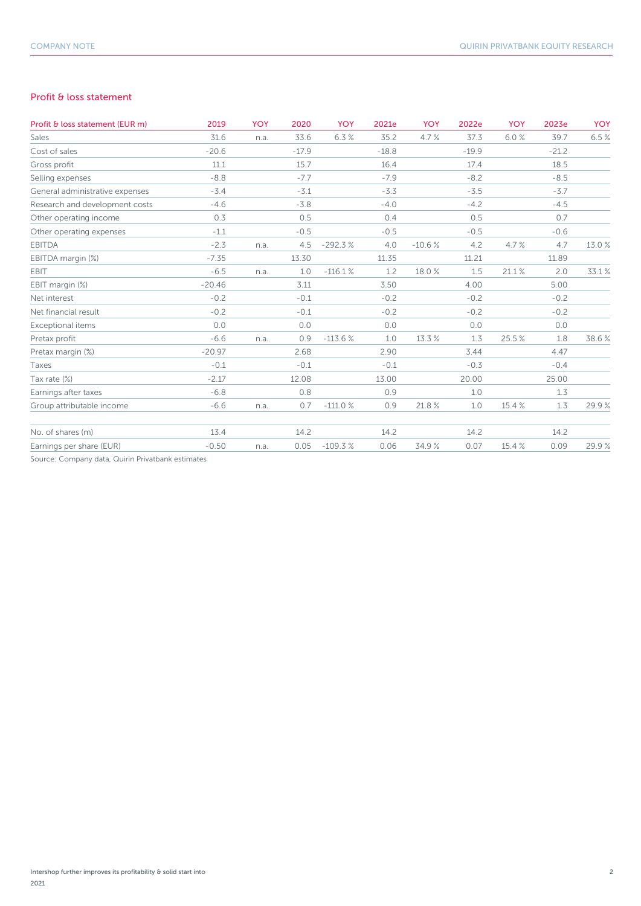### Profit & loss statement

| Profit & loss statement (EUR m)                   | 2019     | <b>YOY</b> | 2020    | YOY       | 2021e   | <b>YOY</b> | 2022e   | <b>YOY</b> | 2023e   | <b>YOY</b> |
|---------------------------------------------------|----------|------------|---------|-----------|---------|------------|---------|------------|---------|------------|
| Sales                                             | 31.6     | n.a.       | 33.6    | 6.3%      | 35.2    | 4.7%       | 37.3    | 6.0%       | 39.7    | 6.5%       |
| Cost of sales                                     | $-20.6$  |            | $-17.9$ |           | $-18.8$ |            | $-19.9$ |            | $-21.2$ |            |
| Gross profit                                      | 11.1     |            | 15.7    |           | 16.4    |            | 17.4    |            | 18.5    |            |
| Selling expenses                                  | $-8.8$   |            | $-7.7$  |           | $-7.9$  |            | $-8.2$  |            | $-8.5$  |            |
| General administrative expenses                   | $-3.4$   |            | $-3.1$  |           | $-3.3$  |            | $-3.5$  |            | $-3.7$  |            |
| Research and development costs                    | $-4.6$   |            | $-3.8$  |           | $-4.0$  |            | $-4.2$  |            | $-4.5$  |            |
| Other operating income                            | 0.3      |            | 0.5     |           | 0.4     |            | 0.5     |            | 0.7     |            |
| Other operating expenses                          | $-1.1$   |            | $-0.5$  |           | $-0.5$  |            | $-0.5$  |            | $-0.6$  |            |
| <b>EBITDA</b>                                     | $-2.3$   | n.a.       | 4.5     | $-292.3%$ | 4.0     | $-10.6%$   | 4.2     | 4.7%       | 4.7     | 13.0 %     |
| EBITDA margin (%)                                 | $-7.35$  |            | 13.30   |           | 11.35   |            | 11.21   |            | 11.89   |            |
| EBIT                                              | $-6.5$   | n.a.       | 1.0     | $-116.1%$ | 1.2     | 18.0%      | 1.5     | 21.1%      | 2.0     | 33.1%      |
| EBIT margin (%)                                   | $-20.46$ |            | 3.11    |           | 3.50    |            | 4.00    |            | 5.00    |            |
| Net interest                                      | $-0.2$   |            | $-0.1$  |           | $-0.2$  |            | $-0.2$  |            | $-0.2$  |            |
| Net financial result                              | $-0.2$   |            | $-0.1$  |           | $-0.2$  |            | $-0.2$  |            | $-0.2$  |            |
| Exceptional items                                 | 0.0      |            | 0.0     |           | 0.0     |            | 0.0     |            | 0.0     |            |
| Pretax profit                                     | $-6.6$   | n.a.       | 0.9     | $-113.6%$ | 1.0     | 13.3 %     | 1.3     | 25.5%      | 1.8     | 38.6%      |
| Pretax margin (%)                                 | $-20.97$ |            | 2.68    |           | 2.90    |            | 3.44    |            | 4.47    |            |
| Taxes                                             | $-0.1$   |            | $-0.1$  |           | $-0.1$  |            | $-0.3$  |            | $-0.4$  |            |
| Tax rate (%)                                      | $-2.17$  |            | 12.08   |           | 13.00   |            | 20.00   |            | 25.00   |            |
| Earnings after taxes                              | $-6.8$   |            | 0.8     |           | 0.9     |            | 1.0     |            | 1.3     |            |
| Group attributable income                         | $-6.6$   | n.a.       | 0.7     | $-111.0%$ | 0.9     | 21.8%      | 1.0     | 15.4 %     | 1.3     | 29.9%      |
| No. of shares (m)                                 | 13.4     |            | 14.2    |           | 14.2    |            | 14.2    |            | 14.2    |            |
| Earnings per share (EUR)                          | $-0.50$  | n.a.       | 0.05    | $-109.3%$ | 0.06    | 34.9%      | 0.07    | 15.4 %     | 0.09    | 29.9%      |
| Source: Company data, Quirin Privatbank estimates |          |            |         |           |         |            |         |            |         |            |

npany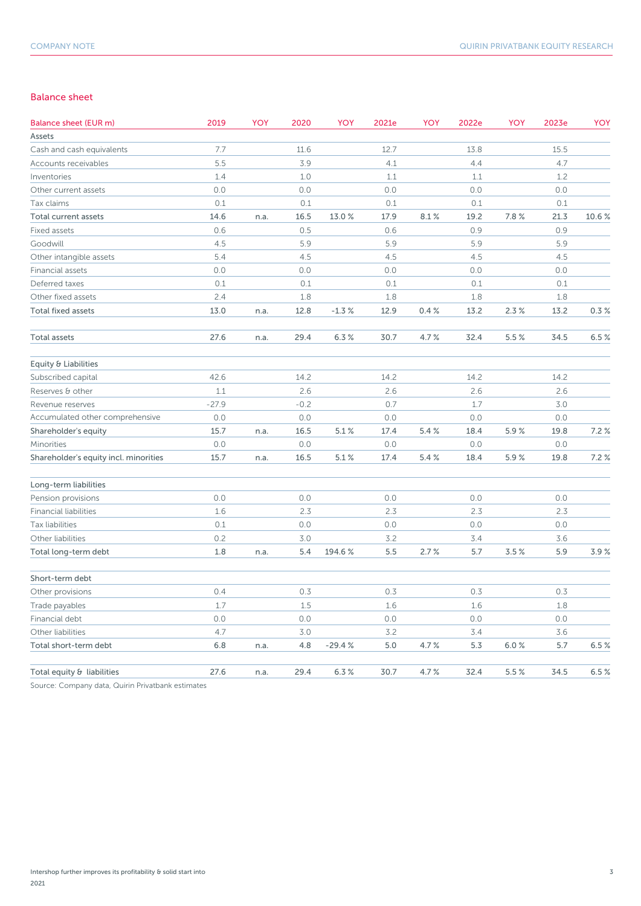### Balance sheet

| Balance sheet (EUR m)                 | 2019    | YOY  | 2020   | YOY      | 2021e | <b>YOY</b> | 2022e | YOY  | 2023e | <b>YOY</b> |
|---------------------------------------|---------|------|--------|----------|-------|------------|-------|------|-------|------------|
| Assets                                |         |      |        |          |       |            |       |      |       |            |
| Cash and cash equivalents             | 7.7     |      | 11.6   |          | 12.7  |            | 13.8  |      | 15.5  |            |
| Accounts receivables                  | 5.5     |      | 3.9    |          | 4.1   |            | 4.4   |      | 4.7   |            |
| Inventories                           | 1.4     |      | 1.0    |          | 1.1   |            | 1.1   |      | 1.2   |            |
| Other current assets                  | 0.0     |      | 0.0    |          | 0.0   |            | 0.0   |      | 0.0   |            |
| Tax claims                            | 0.1     |      | 0.1    |          | 0.1   |            | 0.1   |      | 0.1   |            |
| Total current assets                  | 14.6    | n.a. | 16.5   | 13.0%    | 17.9  | 8.1%       | 19.2  | 7.8% | 21.3  | 10.6%      |
| Fixed assets                          | 0.6     |      | 0.5    |          | 0.6   |            | 0.9   |      | 0.9   |            |
| Goodwill                              | 4.5     |      | 5.9    |          | 5.9   |            | 5.9   |      | 5.9   |            |
| Other intangible assets               | 5.4     |      | 4.5    |          | 4.5   |            | 4.5   |      | 4.5   |            |
| Financial assets                      | 0.0     |      | 0.0    |          | 0.0   |            | 0.0   |      | 0.0   |            |
| Deferred taxes                        | 0.1     |      | 0.1    |          | 0.1   |            | 0.1   |      | 0.1   |            |
| Other fixed assets                    | 2.4     |      | 1.8    |          | 1.8   |            | 1.8   |      | 1.8   |            |
| <b>Total fixed assets</b>             | 13.0    | n.a. | 12.8   | $-1.3%$  | 12.9  | 0.4%       | 13.2  | 2.3% | 13.2  | 0.3%       |
| <b>Total assets</b>                   | 27.6    | n.a. | 29.4   | 6.3%     | 30.7  | 4.7%       | 32.4  | 5.5% | 34.5  | 6.5%       |
| Equity & Liabilities                  |         |      |        |          |       |            |       |      |       |            |
| Subscribed capital                    | 42.6    |      | 14.2   |          | 14.2  |            | 14.2  |      | 14.2  |            |
| Reserves & other                      | 1.1     |      | 2.6    |          | 2.6   |            | 2.6   |      | 2.6   |            |
| Revenue reserves                      | $-27.9$ |      | $-0.2$ |          | 0.7   |            | 1.7   |      | 3.0   |            |
| Accumulated other comprehensive       | 0.0     |      | 0.0    |          | 0.0   |            | 0.0   |      | 0.0   |            |
| Shareholder's equity                  | 15.7    | n.a. | 16.5   | 5.1%     | 17.4  | 5.4%       | 18.4  | 5.9% | 19.8  | 7.2%       |
| Minorities                            | 0.0     |      | 0.0    |          | 0.0   |            | 0.0   |      | 0.0   |            |
| Shareholder's equity incl. minorities | 15.7    | n.a. | 16.5   | 5.1%     | 17.4  | 5.4%       | 18.4  | 5.9% | 19.8  | 7.2%       |
| Long-term liabilities                 |         |      |        |          |       |            |       |      |       |            |
| Pension provisions                    | 0.0     |      | 0.0    |          | 0.0   |            | 0.0   |      | 0.0   |            |
| <b>Financial liabilities</b>          | 1.6     |      | 2.3    |          | 2.3   |            | 2.3   |      | 2.3   |            |
| Tax liabilities                       | 0.1     |      | 0.0    |          | 0.0   |            | 0.0   |      | 0.0   |            |
| Other liabilities                     | 0.2     |      | 3.0    |          | 3.2   |            | 3.4   |      | 3.6   |            |
| Total long-term debt                  | 1.8     | n.a. | 5.4    | 194.6%   | 5.5   | 2.7%       | 5.7   | 3.5% | 5.9   | 3.9%       |
| Short-term debt                       |         |      |        |          |       |            |       |      |       |            |
| Other provisions                      | 0.4     |      | 0.3    |          | 0.3   |            | 0.3   |      | 0.3   |            |
| Trade payables                        | 1.7     |      | 1.5    |          | 1.6   |            | 1.6   |      | 1.8   |            |
| Financial debt                        | 0.0     |      | 0.0    |          | 0.0   |            | 0.0   |      | 0.0   |            |
| Other liabilities                     | 4.7     |      | 3.0    |          | 3.2   |            | 3.4   |      | 3.6   |            |
| Total short-term debt                 | 6.8     | n.a. | 4.8    | $-29.4%$ | 5.0   | 4.7%       | 5.3   | 6.0% | 5.7   | 6.5%       |
| Total equity & liabilities            | 27.6    | n.a. | 29.4   | 6.3%     | 30.7  | 4.7%       | 32.4  | 5.5% | 34.5  | 6.5%       |

Source: Company data, Quirin Privatbank estimates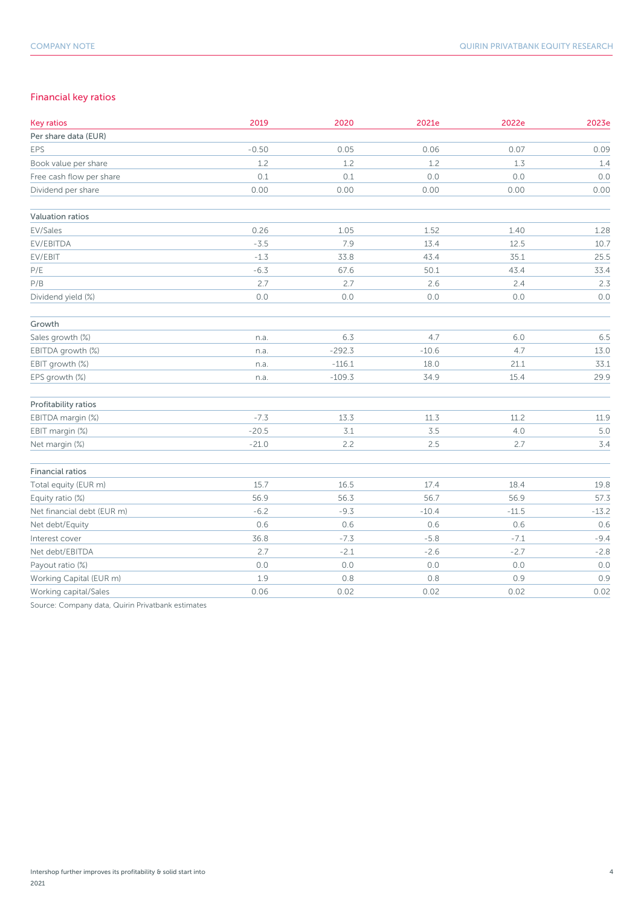### Financial key ratios

| <b>Key ratios</b>          | 2019    | 2020     | 2021e   | 2022e   | 2023e   |
|----------------------------|---------|----------|---------|---------|---------|
| Per share data (EUR)       |         |          |         |         |         |
| EPS                        | $-0.50$ | 0.05     | 0.06    | 0.07    | 0.09    |
| Book value per share       | 1.2     | 1.2      | 1.2     | 1.3     | 1.4     |
| Free cash flow per share   | 0.1     | 0.1      | 0.0     | 0.0     | 0.0     |
| Dividend per share         | 0.00    | 0.00     | 0.00    | 0.00    | 0.00    |
| Valuation ratios           |         |          |         |         |         |
| EV/Sales                   | 0.26    | 1.05     | 1.52    | 1.40    | 1.28    |
| EV/EBITDA                  | $-3.5$  | 7.9      | 13.4    | 12.5    | 10.7    |
| EV/EBIT                    | $-1.3$  | 33.8     | 43.4    | 35.1    | 25.5    |
| P/E                        | $-6.3$  | 67.6     | 50.1    | 43.4    | 33.4    |
| P/B                        | 2.7     | 2.7      | 2.6     | 2.4     | 2.3     |
| Dividend yield (%)         | 0.0     | $0.0$    | 0.0     | 0.0     | 0.0     |
| Growth                     |         |          |         |         |         |
| Sales growth (%)           | n.a.    | 6.3      | 4.7     | 6.0     | 6.5     |
| EBITDA growth (%)          | n.a.    | $-292.3$ | $-10.6$ | 4.7     | 13.0    |
| EBIT growth (%)            | n.a.    | $-116.1$ | 18.0    | 21.1    | 33.1    |
| EPS growth (%)             | n.a.    | $-109.3$ | 34.9    | 15.4    | 29.9    |
| Profitability ratios       |         |          |         |         |         |
| EBITDA margin (%)          | $-7.3$  | 13.3     | 11.3    | 11.2    | 11.9    |
| EBIT margin (%)            | $-20.5$ | 3.1      | 3.5     | 4.0     | 5.0     |
| Net margin (%)             | $-21.0$ | 2.2      | 2.5     | 2.7     | 3.4     |
| <b>Financial ratios</b>    |         |          |         |         |         |
| Total equity (EUR m)       | 15.7    | 16.5     | 17.4    | 18.4    | 19.8    |
| Equity ratio (%)           | 56.9    | 56.3     | 56.7    | 56.9    | 57.3    |
| Net financial debt (EUR m) | $-6.2$  | $-9.3$   | $-10.4$ | $-11.5$ | $-13.2$ |
| Net debt/Equity            | 0.6     | 0.6      | 0.6     | 0.6     | 0.6     |
| Interest cover             | 36.8    | $-7.3$   | $-5.8$  | $-7.1$  | $-9.4$  |
| Net debt/EBITDA            | 2.7     | $-2.1$   | $-2.6$  | $-2.7$  | $-2.8$  |
| Payout ratio (%)           | 0.0     | 0.0      | 0.0     | $0.0\,$ | 0.0     |
| Working Capital (EUR m)    | 1.9     | 0.8      | $0.8$   | 0.9     | 0.9     |
| Working capital/Sales      | 0.06    | 0.02     | 0.02    | 0.02    | 0.02    |

Source: Company data, Quirin Privatbank estimates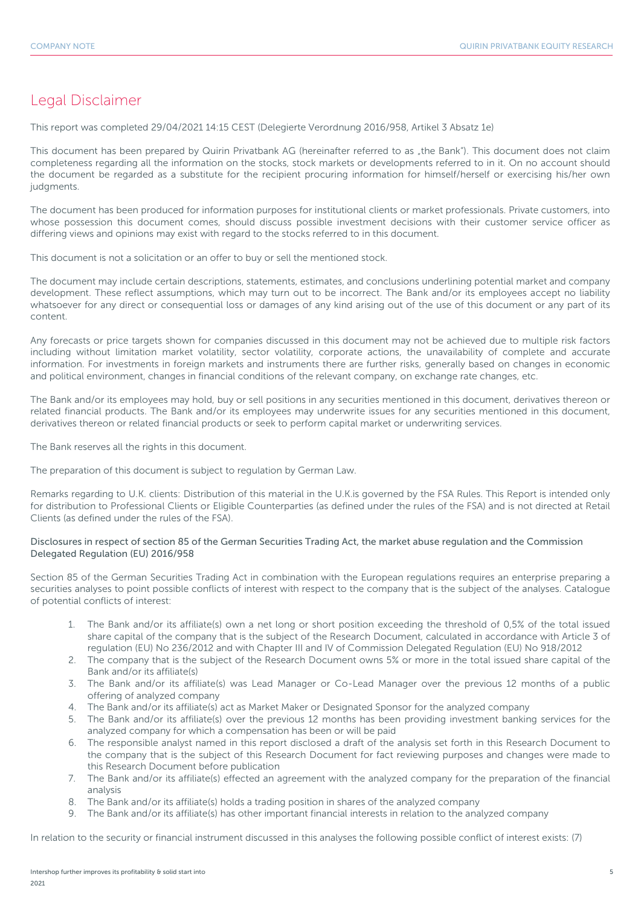### Legal Disclaimer

This report was completed 29/04/2021 14:15 CEST (Delegierte Verordnung 2016/958, Artikel 3 Absatz 1e)

This document has been prepared by Quirin Privatbank AG (hereinafter referred to as "the Bank"). This document does not claim completeness regarding all the information on the stocks, stock markets or developments referred to in it. On no account should the document be regarded as a substitute for the recipient procuring information for himself/herself or exercising his/her own judgments.

The document has been produced for information purposes for institutional clients or market professionals. Private customers, into whose possession this document comes, should discuss possible investment decisions with their customer service officer as differing views and opinions may exist with regard to the stocks referred to in this document.

This document is not a solicitation or an offer to buy or sell the mentioned stock.

The document may include certain descriptions, statements, estimates, and conclusions underlining potential market and company development. These reflect assumptions, which may turn out to be incorrect. The Bank and/or its employees accept no liability whatsoever for any direct or consequential loss or damages of any kind arising out of the use of this document or any part of its content.

Any forecasts or price targets shown for companies discussed in this document may not be achieved due to multiple risk factors including without limitation market volatility, sector volatility, corporate actions, the unavailability of complete and accurate information. For investments in foreign markets and instruments there are further risks, generally based on changes in economic and political environment, changes in financial conditions of the relevant company, on exchange rate changes, etc.

The Bank and/or its employees may hold, buy or sell positions in any securities mentioned in this document, derivatives thereon or related financial products. The Bank and/or its employees may underwrite issues for any securities mentioned in this document, derivatives thereon or related financial products or seek to perform capital market or underwriting services.

The Bank reserves all the rights in this document.

The preparation of this document is subject to regulation by German Law.

Remarks regarding to U.K. clients: Distribution of this material in the U.K.is governed by the FSA Rules. This Report is intended only for distribution to Professional Clients or Eligible Counterparties (as defined under the rules of the FSA) and is not directed at Retail Clients (as defined under the rules of the FSA).

### Disclosures in respect of section 85 of the German Securities Trading Act, the market abuse regulation and the Commission Delegated Regulation (EU) 2016/958

Section 85 of the German Securities Trading Act in combination with the European regulations requires an enterprise preparing a securities analyses to point possible conflicts of interest with respect to the company that is the subject of the analyses. Catalogue of potential conflicts of interest:

- 1. The Bank and/or its affiliate(s) own a net long or short position exceeding the threshold of 0,5% of the total issued share capital of the company that is the subject of the Research Document, calculated in accordance with Article 3 of regulation (EU) No 236/2012 and with Chapter III and IV of Commission Delegated Regulation (EU) No 918/2012
- 2. The company that is the subject of the Research Document owns 5% or more in the total issued share capital of the Bank and/or its affiliate(s)
- 3. The Bank and/or its affiliate(s) was Lead Manager or Co-Lead Manager over the previous 12 months of a public offering of analyzed company
- 4. The Bank and/or its affiliate(s) act as Market Maker or Designated Sponsor for the analyzed company
- 5. The Bank and/or its affiliate(s) over the previous 12 months has been providing investment banking services for the analyzed company for which a compensation has been or will be paid
- 6. The responsible analyst named in this report disclosed a draft of the analysis set forth in this Research Document to the company that is the subject of this Research Document for fact reviewing purposes and changes were made to this Research Document before publication
- 7. The Bank and/or its affiliate(s) effected an agreement with the analyzed company for the preparation of the financial analysis
- 8. The Bank and/or its affiliate(s) holds a trading position in shares of the analyzed company
- 9. The Bank and/or its affiliate(s) has other important financial interests in relation to the analyzed company

In relation to the security or financial instrument discussed in this analyses the following possible conflict of interest exists: (7)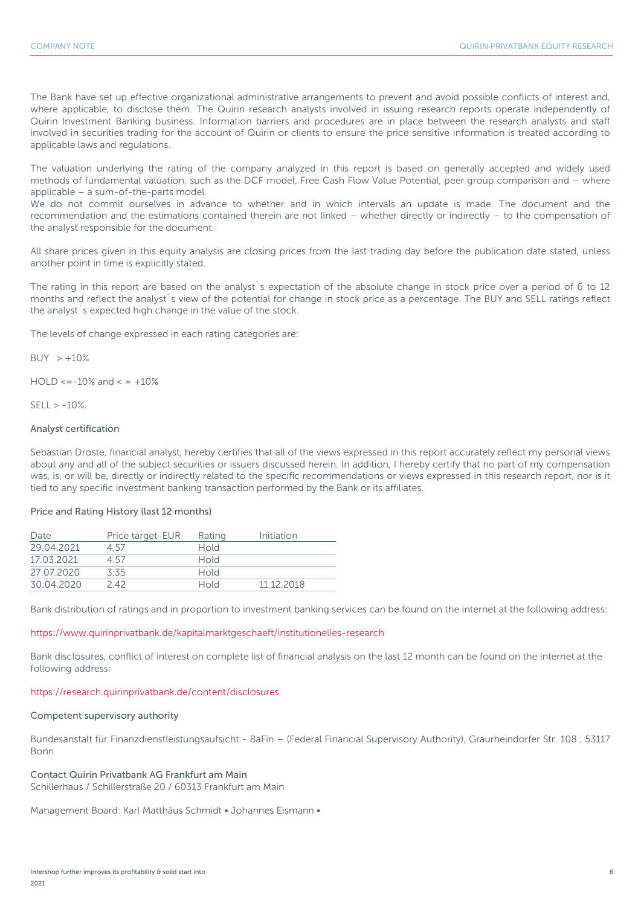The Bank have set up effective organizational administrative arrangements to prevent and avoid possible conflicts of interest and, where applicable, to disclose them. The Quirin research analysts involved in issuing research reports operate independently of Quirin Investment Banking business. Information barriers and procedures are in place between the research analysts and staff involved in securities trading for the account of Quirin or clients to ensure the price sensitive information is treated according to applicable laws and regulations.

The valuation underlying the rating of the company analyzed in this report is based on generally accepted and widely used methods of fundamental valuation, such as the DCF model, Free Cash Flow Value Potential, peer group comparison and – where applicable – a sum-of-the-parts model.

We do not commit ourselves in advance to whether and in which intervals an update is made. The document and the recommendation and the estimations contained therein are not linked – whether directly or indirectly – to the compensation of the analyst responsible for the document.

All share prices given in this equity analysis are closing prices from the last trading day before the publication date stated, unless another point in time is explicitly stated.

The rating in this report are based on the analyst´s expectation of the absolute change in stock price over a period of 6 to 12 months and reflect the analyst´s view of the potential for change in stock price as a percentage. The BUY and SELL ratings reflect the analyst´s expected high change in the value of the stock.

The levels of change expressed in each rating categories are:

 $BUY > +10%$ 

 $HOLD \le -10\%$  and  $\le +10\%$ 

 $SFII > -10%$ 

### Analyst certification

Sebastian Droste, financial analyst, hereby certifies that all of the views expressed in this report accurately reflect my personal views about any and all of the subject securities or issuers discussed herein. In addition, I hereby certify that no part of my compensation was, is, or will be, directly or indirectly related to the specific recommendations or views expressed in this research report, nor is it tied to any specific investment banking transaction performed by the Bank or its affiliates.

### Price and Rating History (last 12 months)

| Date       | Price target-EUR | Rating      | Initiation |
|------------|------------------|-------------|------------|
| 29.04.2021 | 4.57             | Hold        |            |
| 17 03 2021 | 4.57             | Hold        |            |
| 27.07.2020 | 335              | <b>Hold</b> |            |
| 30.04.2020 | 242              | Hold        | 11 12 2018 |

Bank distribution of ratings and in proportion to investment banking services can be found on the internet at the following address:

### https://www.quirinprivatbank.de/kapitalmarktgeschaeft/institutionelles-research

Bank disclosures, conflict of interest on complete list of financial analysis on the last 12 month can be found on the internet at the following address:

### https://research.quirinprivatbank.de/content/disclosures

### Competent supervisory authority

Bundesanstalt für Finanzdienstleistungsaufsicht - BaFin – (Federal Financial Supervisory Authority), Graurheindorfer Str. 108 , 53117 Bonn

### Contact Quirin Privatbank AG Frankfurt am Main Schillerhaus / Schillerstraße 20 / 60313 Frankfurt am Main

Management Board: Karl Matthäus Schmidt • Johannes Eismann •